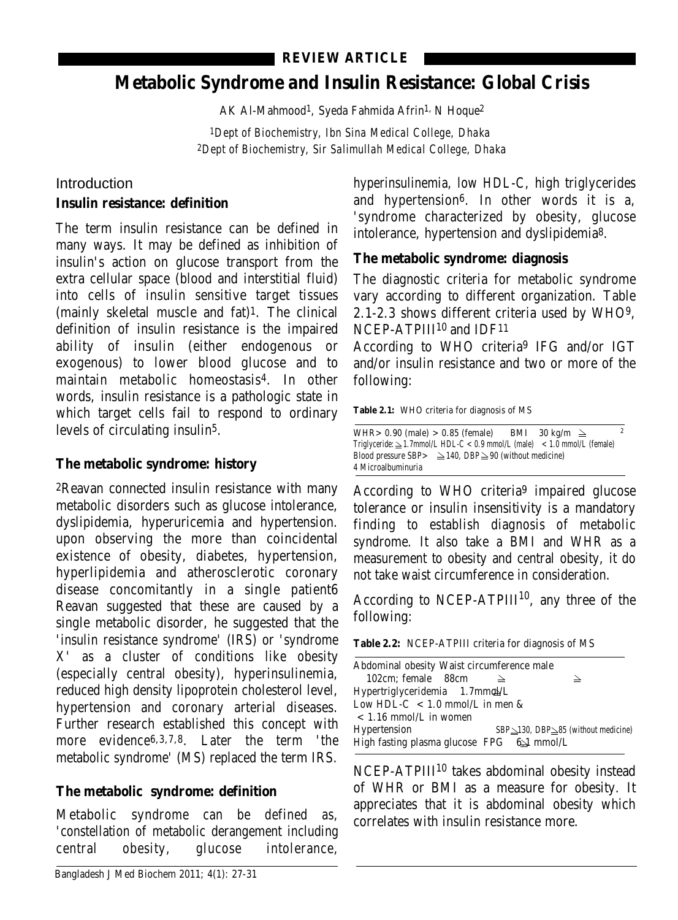## **REVIEW ARTICLE**

# **Metabolic Syndrome and Insulin Resistance: Global Crisis**

AK Al-Mahmood1, Syeda Fahmida Afrin1, N Hoque2

*1Dept of Biochemistry, Ibn Sina Medical College, Dhaka 2Dept of Biochemistry, Sir Salimullah Medical College, Dhaka*

## Introduction

#### **Insulin resistance: definition**

The term insulin resistance can be defined in many ways. It may be defined as inhibition of insulin's action on glucose transport from the extra cellular space (blood and interstitial fluid) into cells of insulin sensitive target tissues (mainly skeletal muscle and fat)1. The clinical definition of insulin resistance is the impaired ability of insulin (either endogenous or exogenous) to lower blood glucose and to maintain metabolic homeostasis4. In other words, insulin resistance is a pathologic state in which target cells fail to respond to ordinary levels of circulating insulin5.

## **The metabolic syndrome: history**

2Reavan connected insulin resistance with many metabolic disorders such as glucose intolerance, dyslipidemia, hyperuricemia and hypertension. upon observing the more than coincidental existence of obesity, diabetes, hypertension, hyperlipidemia and atherosclerotic coronary disease concomitantly in a single patient6 Reavan suggested that these are caused by a single metabolic disorder, he suggested that the 'insulin resistance syndrome' (IRS) or 'syndrome X' as a cluster of conditions like obesity (especially central obesity), hyperinsulinemia, reduced high density lipoprotein cholesterol level, hypertension and coronary arterial diseases. Further research established this concept with more evidence6,3,7,8. Later the term 'the metabolic syndrome' (MS) replaced the term IRS.

# **The metabolic syndrome: definition**

Metabolic syndrome can be defined as, 'constellation of metabolic derangement including central obesity, glucose intolerance,

hyperinsulinemia, low HDL-C, high triglycerides and hypertension6. In other words it is a, 'syndrome characterized by obesity, glucose intolerance, hypertension and dyslipidemia8.

## **The metabolic syndrome: diagnosis**

The diagnostic criteria for metabolic syndrome vary according to different organization. Table 2.1-2.3 shows different criteria used by WHO9, NCEP-ATPIII<sup>10</sup> and IDF<sup>11</sup>

According to WHO criteria9 IFG and/or IGT and/or insulin resistance and two or more of the following:

**Table 2.1:** WHO criteria for diagnosis of MS

| WHR> 0.90 (male) > 0.85 (female)                                               |  | BMI | 30 kg/m $\geq$ |  |  |
|--------------------------------------------------------------------------------|--|-----|----------------|--|--|
| Triglyceride: $\geq$ 1.7mmol/L HDL-C < 0.9 mmol/L (male) < 1.0 mmol/L (female) |  |     |                |  |  |
| Blood pressure SBP> $\geq$ 140, DBP $\geq$ 90 (without medicine)               |  |     |                |  |  |
| 4 Microalbuminuria                                                             |  |     |                |  |  |

According to WHO criteria9 impaired glucose tolerance or insulin insensitivity is a mandatory finding to establish diagnosis of metabolic syndrome. It also take a BMI and WHR as a measurement to obesity and central obesity, it do not take waist circumference in consideration.

According to NCEP-ATPIII $^{10}$ , any three of the following:

**Table 2.2:** NCEP-ATPIII criteria for diagnosis of MS

| Abdominal obesity Waist circumference male |                                                 |
|--------------------------------------------|-------------------------------------------------|
| 102cm: female 88cm                         | $\overline{\phantom{0}}$                        |
| Hypertriglyceridemia 1.7mmol/L             |                                                 |
| Low HDL-C $\,$ < 1.0 mmol/L in men &       |                                                 |
| $< 1.16$ mmol/L in women                   |                                                 |
| <b>Hypertension</b>                        | $SBP\_\&130$ , DBP $\geq 85$ (without medicine) |
| High fasting plasma glucose FPG 62 mmol/L  |                                                 |
|                                            |                                                 |

NCEP-ATPIII<sup>10</sup> takes abdominal obesity instead of WHR or BMI as a measure for obesity. It appreciates that it is abdominal obesity which correlates with insulin resistance more.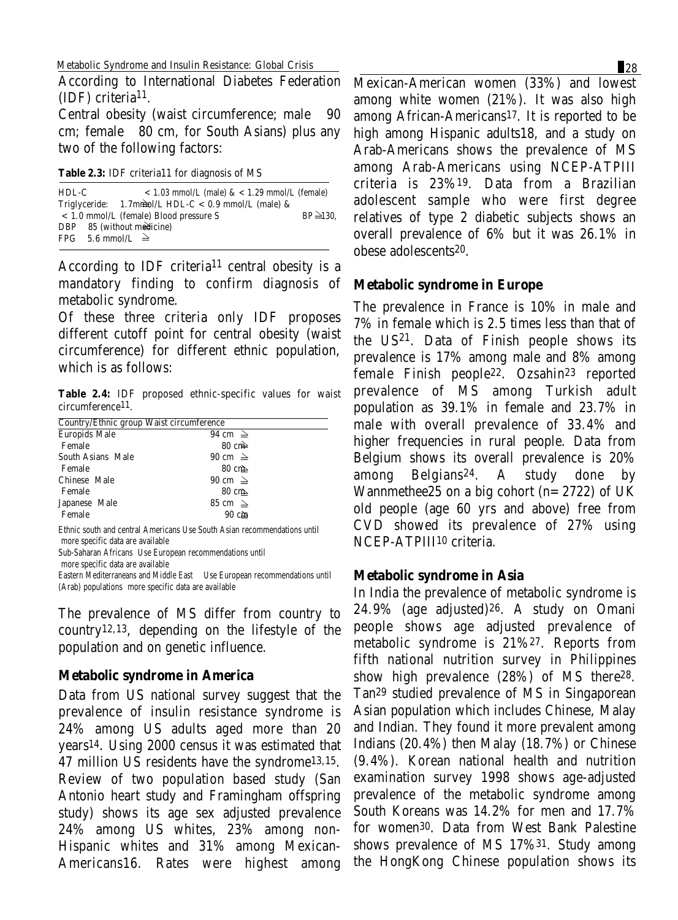According to International Diabetes Federation  $(IDF)$  criteria<sup>11</sup>.

Central obesity (waist circumference; male 90 cm; female 80 cm, for South Asians) plus any two of the following factors:

**Table 2.3:** IDF criteria11 for diagnosis of MS

| $HDL-C$ | $<$ 1.03 mmol/L (male) & $<$ 1.29 mmol/L (female)      |                 |
|---------|--------------------------------------------------------|-----------------|
|         | Triglyceride: $1.7$ mmol/L HDL-C < 0.9 mmol/L (male) & |                 |
|         | $< 1.0$ mmol/L (female) Blood pressure S               | $BP \geq 130$ . |
|         | DBP 85 (without medicine)                              |                 |
|         | FPG 5.6 mmol/L $\geq$                                  |                 |

According to IDF criteria<sup>11</sup> central obesity is a mandatory finding to confirm diagnosis of metabolic syndrome.

Of these three criteria only IDF proposes different cutoff point for central obesity (waist circumference) for different ethnic population, which is as follows:

**Table 2.4:** IDF proposed ethnic-specific values for waist circumference11.

| Country/Ethnic group Waist circumference |                 |  |  |  |
|------------------------------------------|-----------------|--|--|--|
| <b>Europids Male</b>                     | 94 cm $\geq$    |  |  |  |
| Female                                   | $80 \text{ cm}$ |  |  |  |
| South Asians Male                        | 90 cm $\geq$    |  |  |  |
| Female                                   | $80 \text{ cm}$ |  |  |  |
| <b>Chinese Male</b>                      | 90 cm $\geq$    |  |  |  |
| Female                                   | $80 \text{ cm}$ |  |  |  |
| Japanese Male                            | 85 cm $\geq$    |  |  |  |
| Female                                   | 90 cm           |  |  |  |
|                                          |                 |  |  |  |

Ethnic south and central Americans Use South Asian recommendations until more specific data are available

Sub-Saharan Africans Use European recommendations until

 more specific data are available

Eastern Mediterraneans and Middle East Use European recommendations until (Arab) populations more specific data are available

The prevalence of MS differ from country to country12,13, depending on the lifestyle of the population and on genetic influence.

#### **Metabolic syndrome in America**

Data from US national survey suggest that the prevalence of insulin resistance syndrome is 24% among US adults aged more than 20 years14. Using 2000 census it was estimated that 47 million US residents have the syndrome13,15. Review of two population based study (San Antonio heart study and Framingham offspring study) shows its age sex adjusted prevalence 24% among US whites, 23% among non-Hispanic whites and 31% among Mexican-Americans16. Rates were highest among

Mexican-American women (33%) and lowest among white women (21%). It was also high among African-Americans17. It is reported to be high among Hispanic adults18, and a study on Arab-Americans shows the prevalence of MS among Arab-Americans using NCEP-ATPIII criteria is 23%19. Data from a Brazilian adolescent sample who were first degree relatives of type 2 diabetic subjects shows an overall prevalence of 6% but it was 26.1% in obese adolescents20.

#### **Metabolic syndrome in Europe**

The prevalence in France is 10% in male and 7% in female which is 2.5 times less than that of the US21. Data of Finish people shows its prevalence is 17% among male and 8% among female Finish people22. Ozsahin23 reported prevalence of MS among Turkish adult population as 39.1% in female and 23.7% in male with overall prevalence of 33.4% and higher frequencies in rural people. Data from Belgium shows its overall prevalence is 20% among Belgians24. A study done by Wannmethee25 on a big cohort  $(n=2722)$  of UK old people (age 60 yrs and above) free from CVD showed its prevalence of 27% using NCEP-ATPIII10 criteria.

#### **Metabolic syndrome in Asia**

In India the prevalence of metabolic syndrome is 24.9% (age adjusted)26. A study on Omani people shows age adjusted prevalence of metabolic syndrome is 21%27. Reports from fifth national nutrition survey in Philippines show high prevalence (28%) of MS there28. Tan29 studied prevalence of MS in Singaporean Asian population which includes Chinese, Malay and Indian. They found it more prevalent among Indians (20.4%) then Malay (18.7%) or Chinese (9.4%). Korean national health and nutrition examination survey 1998 shows age-adjusted prevalence of the metabolic syndrome among South Koreans was 14.2% for men and 17.7% for women30. Data from West Bank Palestine shows prevalence of MS 17%31. Study among the HongKong Chinese population shows its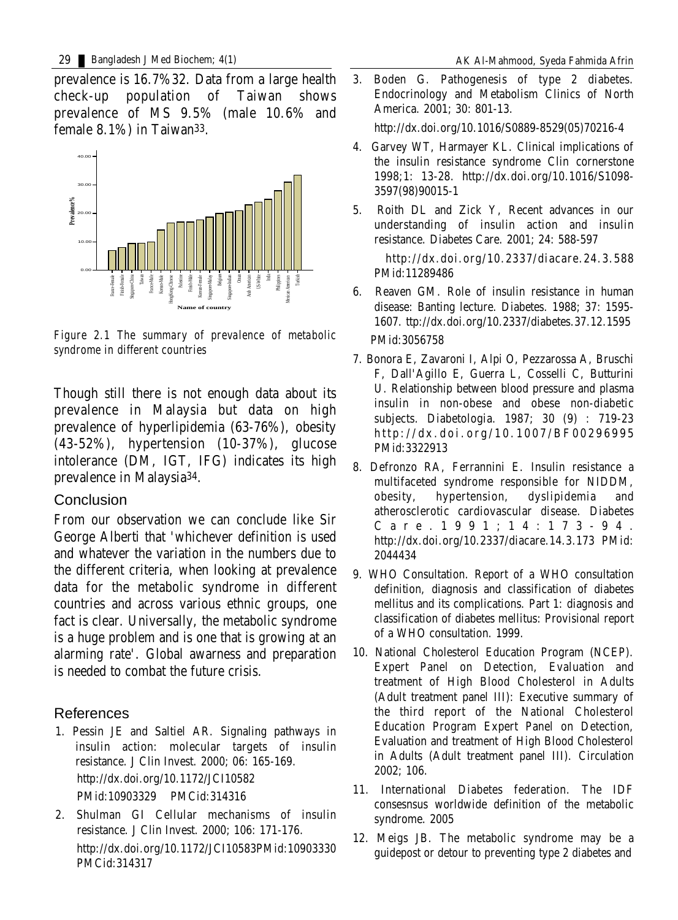prevalence is 16.7%32. Data from a large health check-up population of Taiwan shows prevalence of MS 9.5% (male 10.6% and female 8.1%) in Taiwan33.



*Figure 2.1 The summary of prevalence of metabolic syndrome in different countries*

Though still there is not enough data about its prevalence in Malaysia but data on high prevalence of hyperlipidemia (63-76%), obesity (43-52%), hypertension (10-37%), glucose intolerance (DM, IGT, IFG) indicates its high prevalence in Malaysia34.

#### Conclusion

From our observation we can conclude like Sir George Alberti that 'whichever definition is used and whatever the variation in the numbers due to the different criteria, when looking at prevalence data for the metabolic syndrome in different countries and across various ethnic groups, one fact is clear. Universally, the metabolic syndrome is a huge problem and is one that is growing at an alarming rate'. Global awarness and preparation is needed to combat the future crisis.

#### References

- 1. Pessin JE and Saltiel AR. Signaling pathways in insulin action: molecular targets of insulin resistance. J Clin Invest. 2000; 06: 165-169. http://dx.doi.org/10.1172/JCI10582 PMid:10903329 PMCid:314316
- 2. Shulman GI Cellular mechanisms of insulin resistance. J Clin Invest. 2000; 106: 171-176. http://dx.doi.org/10.1172/JCI10583PMid:10903330 PMCid:314317

3. Boden G. Pathogenesis of type 2 diabetes. Endocrinology and Metabolism Clinics of North America. 2001; 30: 801-13.

http://dx.doi.org/10.1016/S0889-8529(05)70216-4

- 4. Garvey WT, Harmayer KL. Clinical implications of the insulin resistance syndrome Clin cornerstone 1998;1: 13-28. http://dx.doi.org/10.1016/S1098- 3597(98)90015-1
- 5. Roith DL and Zick Y, Recent advances in our understanding of insulin action and insulin resistance. Diabetes Care. 2001; 24: 588-597

http://dx.doi.org/10.2337/diacare.24.3.588 PMid:11289486

- 6. Reaven GM. Role of insulin resistance in human disease: Banting lecture. Diabetes. 1988; 37: 1595- 1607. ttp://dx.doi.org/10.2337/diabetes.37.12.1595 PMid:3056758
- 7. Bonora E, Zavaroni I, Alpi O, Pezzarossa A, Bruschi F, Dall'Agillo E, Guerra L, Cosselli C, Butturini U. Relationship between blood pressure and plasma insulin in non-obese and obese non-diabetic subjects. Diabetologia. 1987; 30 (9) : 719-23 http://dx.doi.org/10.1007/BF00296995 PMid:3322913
- 8. Defronzo RA, Ferrannini E. Insulin resistance a multifaceted syndrome responsible for NIDDM, obesity, hypertension, dyslipidemia and atherosclerotic cardiovascular disease. Diabetes C a r e . 1 9 9 1 ; 1 4 : 1 7 3 - 9 4 . http://dx.doi.org/10.2337/diacare.14.3.173 PMid: 2044434
- 9. WHO Consultation. Report of a WHO consultation definition, diagnosis and classification of diabetes mellitus and its complications. Part 1: diagnosis and classification of diabetes mellitus: Provisional report of a WHO consultation. 1999.
- 10. National Cholesterol Education Program (NCEP). Expert Panel on Detection, Evaluation and treatment of High Blood Cholesterol in Adults (Adult treatment panel III): Executive summary of the third report of the National Cholesterol Education Program Expert Panel on Detection, Evaluation and treatment of High Blood Cholesterol in Adults (Adult treatment panel III). Circulation  $2002:106.$
- 11. International Diabetes federation. The IDF consesnsus worldwide definition of the metabolic syndrome. 2005
- 12. Meigs JB. The metabolic syndrome may be a guidepost or detour to preventing type 2 diabetes and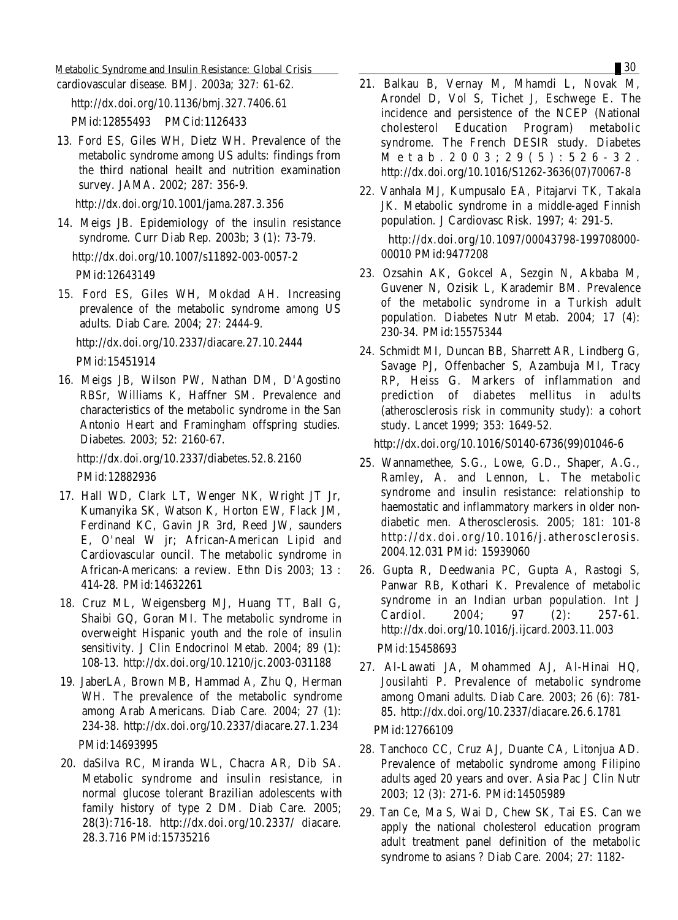Metabolic Syndrome and Insulin Resistance: Global Crisis **30 1999 1999 1999 1999 1999 1999 1999 1999 1999 1999 1999 1999 1999 1999 1999 1999 1999 1999 1999 1999 1999 1999 1999** 

cardiovascular disease. BMJ. 2003a; 327: 61-62.

http://dx.doi.org/10.1136/bmj.327.7406.61

PMid:12855493 PMCid:1126433

13. Ford ES, Giles WH, Dietz WH. Prevalence of the metabolic syndrome among US adults: findings from the third national heailt and nutrition examination survey. JAMA. 2002; 287: 356-9.

http://dx.doi.org/10.1001/jama.287.3.356

14. Meigs JB. Epidemiology of the insulin resistance syndrome. Curr Diab Rep. 2003b; 3 (1): 73-79. http://dx.doi.org/10.1007/s11892-003-0057-2

PMid:12643149

15. Ford ES, Giles WH, Mokdad AH. Increasing prevalence of the metabolic syndrome among US adults. Diab Care. 2004; 27: 2444-9.

http://dx.doi.org/10.2337/diacare.27.10.2444 PMid:15451914

16. Meigs JB, Wilson PW, Nathan DM, D'Agostino RBSr, Williams K, Haffner SM. Prevalence and characteristics of the metabolic syndrome in the San Antonio Heart and Framingham offspring studies. Diabetes. 2003; 52: 2160-67.

http://dx.doi.org/10.2337/diabetes.52.8.2160 PMid:12882936

- 17. Hall WD, Clark LT, Wenger NK, Wright JT Jr, Kumanyika SK, Watson K, Horton EW, Flack JM, Ferdinand KC, Gavin JR 3rd, Reed JW, saunders E, O'neal W jr; African-American Lipid and Cardiovascular ouncil. The metabolic syndrome in African-Americans: a review. Ethn Dis 2003; 13 : 414-28. PMid:14632261
- 18. Cruz ML, Weigensberg MJ, Huang TT, Ball G, Shaibi GQ, Goran MI. The metabolic syndrome in overweight Hispanic youth and the role of insulin sensitivity. J Clin Endocrinol Metab. 2004; 89 (1): 108-13. http://dx.doi.org/10.1210/jc.2003-031188
- 19. JaberLA, Brown MB, Hammad A, Zhu Q, Herman WH. The prevalence of the metabolic syndrome among Arab Americans. Diab Care. 2004; 27 (1): 234-38. http://dx.doi.org/10.2337/diacare.27.1.234 PMid:14693995
- 20. daSilva RC, Miranda WL, Chacra AR, Dib SA. Metabolic syndrome and insulin resistance, in normal glucose tolerant Brazilian adolescents with family history of type 2 DM. Diab Care. 2005; 28(3):716-18. http://dx.doi.org/10.2337/ diacare. 28.3.716 PMid:15735216
- 21. Balkau B, Vernay M, Mhamdi L, Novak M, Arondel D, Vol S, Tichet J, Eschwege E. The incidence and persistence of the NCEP (National cholesterol Education Program) metabolic syndrome. The French DESIR study. Diabetes M e t a b . 2 0 0 3 ; 2 9 ( 5 ) : 5 2 6 - 3 2 . http://dx.doi.org/10.1016/S1262-3636(07)70067-8
- 22. Vanhala MJ, Kumpusalo EA, Pitajarvi TK, Takala JK. Metabolic syndrome in a middle-aged Finnish population. J Cardiovasc Risk. 1997; 4: 291-5.

http://dx.doi.org/10.1097/00043798-199708000- 00010 PMid:9477208

- 23. Ozsahin AK, Gokcel A, Sezgin N, Akbaba M, Guvener N, Ozisik L, Karademir BM. Prevalence of the metabolic syndrome in a Turkish adult population. Diabetes Nutr Metab. 2004; 17 (4): 230-34. PMid:15575344
- 24. Schmidt MI, Duncan BB, Sharrett AR, Lindberg G, Savage PJ, Offenbacher S, Azambuja MI, Tracy RP, Heiss G. Markers of inflammation and prediction of diabetes mellitus in adults (atherosclerosis risk in community study): a cohort study. Lancet 1999; 353: 1649-52.

http://dx.doi.org/10.1016/S0140-6736(99)01046-6

- 25. Wannamethee, S.G., Lowe, G.D., Shaper, A.G., Ramley, A. and Lennon, L. The metabolic syndrome and insulin resistance: relationship to haemostatic and inflammatory markers in older nondiabetic men. Atherosclerosis. 2005; 181: 101-8 http://dx.doi.org/10.1016/j.atherosclerosis. 2004.12.031 PMid: 15939060
- 26. Gupta R, Deedwania PC, Gupta A, Rastogi S, Panwar RB, Kothari K. Prevalence of metabolic syndrome in an Indian urban population. Int J Cardiol. 2004; 97 (2): 257-61. http://dx.doi.org/10.1016/j.ijcard.2003.11.003 PMid:15458693
- 27. Al-Lawati JA, Mohammed AJ, Al-Hinai HQ, Jousilahti P. Prevalence of metabolic syndrome among Omani adults. Diab Care. 2003; 26 (6): 781- 85. http://dx.doi.org/10.2337/diacare.26.6.1781 PMid:12766109
- 28. Tanchoco CC, Cruz AJ, Duante CA, Litonjua AD. Prevalence of metabolic syndrome among Filipino adults aged 20 years and over. Asia Pac J Clin Nutr 2003; 12 (3): 271-6. PMid:14505989
- 29. Tan Ce, Ma S, Wai D, Chew SK, Tai ES. Can we apply the national cholesterol education program adult treatment panel definition of the metabolic syndrome to asians ? Diab Care. 2004; 27: 1182-